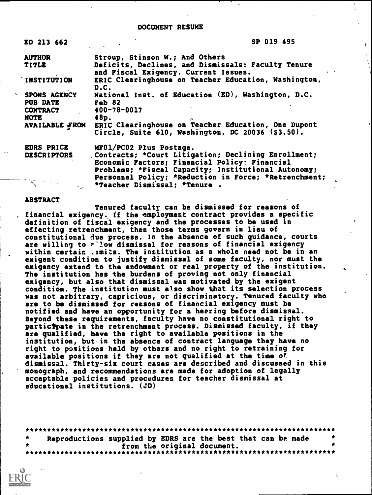## DOCUMENT RESUME

| ED 213 662                                   | SP 019 495                                                                                                                                                    |
|----------------------------------------------|---------------------------------------------------------------------------------------------------------------------------------------------------------------|
| <b>AUTHOR</b>                                | Stroup, Stinson W.; And Others                                                                                                                                |
| TITLE                                        | Deficits, Declines, and Dismissals: Faculty Tenure<br>and Fiscal Exigency. Current Issues.                                                                    |
| INSTITUTION                                  | ERIC Clearinghouse on Teacher Education, Washington,<br>D.C.                                                                                                  |
| SPONS AGENCY<br><b>PUB DATE</b>              | National Inst. of Education (ED), Washington, D.C.<br>$Fe$ b 82                                                                                               |
| <b>CONTRACT</b><br><b>NOTE</b>               | 400-78-0017<br>48p.<br>$\mathcal{F}$ .                                                                                                                        |
| <b>AVAILABLE FROM</b>                        | ERIC Clearinghouse on Teacher Education, One Dupont<br>Circle, Suite 610, Washington, DC 20036 (\$3.50).                                                      |
| <b>EDRS PRICE</b>                            | MF01/PC02 Plus Postage.                                                                                                                                       |
| <b>DESCRIPTORS</b>                           | . Contracts; *Court Litigation; Declining Enrollment;<br>Economic Factors; Financial Policy; Financial<br>Problems; *Fiscal Capacity; Institutional Autonomy; |
| $\overline{a}$ $\overline{b}$ $\overline{a}$ | Personnel Policy; *Reduction in Force; *Retrenchment;<br>*Teacher Dismissal; *Tenure .                                                                        |

## ABSTRACT

Tenured faculty can be dismissed for reasons of . financial exigency. If the employment contract provides a specific definition of fiscal exigency and the processes to be used in effecting retrenchment, then those terms govern in lieu of constitutional Aue process. In the absence of such guidance, courts are willing to P'low dismissal for reasons of financial exigency within certain ,imits. The institution as a whole need not be in an exigent condition to justify dismissal of some faculty, nor must the exigency extend to the endowment or real property of the institution. The institution has the burdens of proving not only financial exigency, but also that dismissal was motivated by the exigent condition. The institution must also show that its selection process was not arbitrary, capricious, or discriminatory. Tenured faculty who are to be dismissed for reasons of financial exigency must be notified and have an opportunity for a herring before dismissal. Beyond these requirements, faculty have no constitutional right to participate in the retrenchment process. Dismissed faculty, if they are qualified, have the right to available positions in the institution, but in the absence of contract language they have no right to positions held by others and no right to retraining for available positions if they are not qualified at the time of dismissal. Thirty-six court cases are described and discussed in this monograph, and recommendations are made for adoption of legally acceptable policies and procedures for teacher dismissal at educational institutions. (JD)

|  |  |  |                             | Reproductions supplied by EDRS are the best that can be made |  |  |
|--|--|--|-----------------------------|--------------------------------------------------------------|--|--|
|  |  |  | from the original document. |                                                              |  |  |
|  |  |  |                             |                                                              |  |  |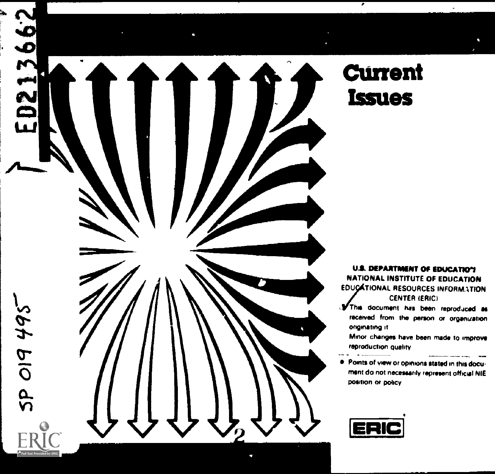

# **Current Issues**

U.S. DEPARTMENT OF EDUCATION<br>NATIONAL INSTITUTE OF EDUCATION **EDUCATIONAL RESOURCES INFORMATION CENTER (ERIC)** 

rAThis document has been reprod,rced as onginating it received from the person or organization

reproduction quality Minor changes have been made to improve

 $\bullet$  Points of view or opinions stated in this document do not necessarily represent official NIE position or policy

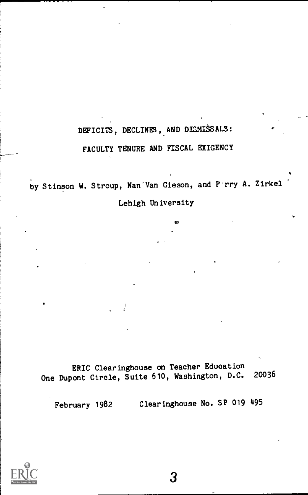## DEFICITS, DECLINES, AND DISMISSALS:

## FACULTY TENURE AND FISCAL EXIGENCY

by Stinson W. Stroup, Nan'Van Gieson, and P-rry A. Zirkel Lehigh University

÷.

ERIC Clearinghouse on Teacher Education<br>cont Cincle, Suite 610, Washington, D.C. 20036 One Dupont Circle, Suite 610, Washington, D.C.

February 1982 Clearinghouse No. SP 019 495

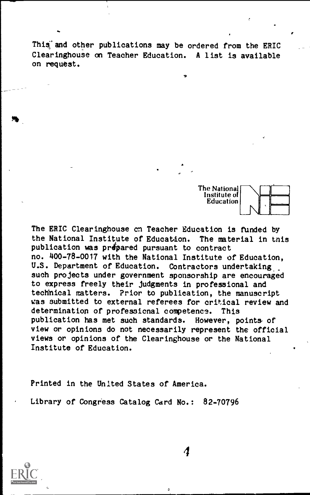This and other publications may be ordered from the ERIC Clearinghouse an Teacher Education. A list is available on request.

lo

The National Institute of Education

The ERIC Clearinghouse cn Teacher Education is funded by the National Institute of Education. The material in this publication was prepared pursuant to contract no. 400-78-0017 with the National Institute of Education, U.S. Department of Education. Contractors undertaking. such projects under government sponsorship are encouraged to express freely their judgments in professional and technical matters. Prior to publication, the manuscript was submitted to external referees for critical review and determination of professional competence. This<br>publication has met such standards. However, points of publication has met such standards. view or opinions do not necessarily represent the official views or opinions of the Clearinghouse or the National Institute of Education.

Printed in the United States of America.

Library of Congress Catalog Card No.: 82-70796



 $\mathfrak{a}$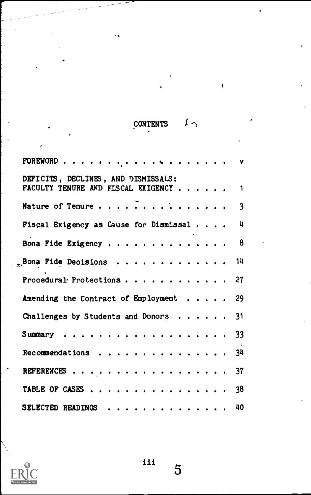# CONTENTS  $\downarrow \sim$

۱

| DEFICITS, DECLINES, AND DISMISSALS:<br>FACULTY TENURE AND FISCAL EXIGENCY 1 |
|-----------------------------------------------------------------------------|
|                                                                             |
| Fiscal Exigency as Cause for Dismissal 4                                    |
| Bona Fide Exigency 8                                                        |
| $_{\text{m}}$ Bona Fide Decisions 14                                        |
| Procedural Protections 27                                                   |
| Amending the Contract of Employment 29                                      |
| Challenges by Students and Donors 31                                        |
| Summary 33                                                                  |
| Recommendations $34$                                                        |
| REFERENCES 37                                                               |
| TABLE OF CASES 38                                                           |
| SELECTED READINGS 40                                                        |



 $\overline{5}$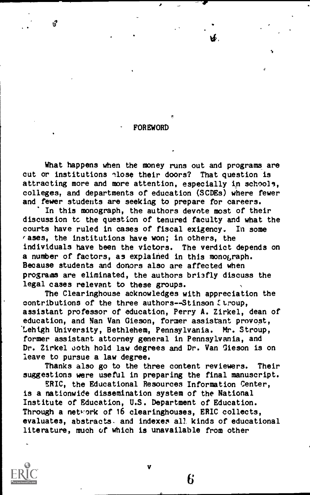## FOREWORD

 $\mathcal{O}$  and  $\mathcal{O}$ 

What happens when the money runs out and programs are cut or institutions nlose their doors? That question is attracting more and more attention, especially in schools, colleges, and departments of education (SCDEs) where fewer and fewer students are seeking to prepare for careers.

In this monograph, the authors devote most of their discussion tc the question of tenured faculty and what the courts have ruled in cases of fiscal exigency. In some rases, the institutions have won; in others, the individuals have been the victors. The verdict depends on a number of factors, as explained in this monograph. Because students and donors also are affected when programs are eliminated, the authors bri3fly discuss the legal cases relevant to these groups.

The Clearinghouse acknowledges with appreciation the contributions of the three authors--Stinson Stroup. assistant professor of education, Perry A. Zirkel, dean of education, and Nan Van Gieson, former assistant provost, Lehigh University, Bethlehem, Pennsylvania. Mr. Stroup, former assistant attorney general in Pennsylvania, and Dr. Zirkel uoth hold law degrees and Dr. Van Gieson is on leave to pursue a law degree.

Thanks also go to the three content reviewers. Their suggestions were useful in preparing the final manuscript.

ERIC, the Educational Resources Information Center, is a nationwide dissemination system of the National Institute of Education, U.S. Department of Education. Through a network of 16 clearinghouses, ERIC collects, evaluates, abstracts. and indexes all kinds of educational literature, much of which is unavailable from other



v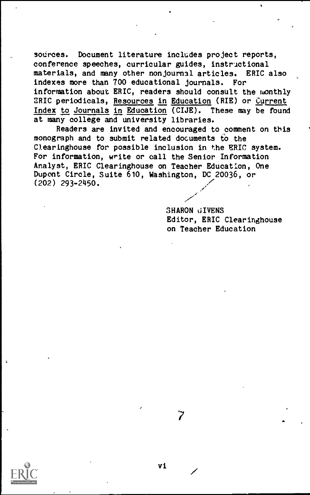sources. Document literature includes project reports, conference speeches, curricular guides, instructional materials, and many other nonjournal articles. ERIC also indexes more than 700 educational journals. For information about ERIC, readers should consult the monthly ERIC periodicals, Resources in Education (RIE) or Current Index to Journals in Education (CIJE). These may be found at many college and university libraries.

Readers are invited and encouraged to comment on this monograph and to submit related documents to the Clearinghouse for possible inclusion in the ERIC system. For information, write or call the Senior Information Analyst, ERIC Clearinghouse on Teacher Education, One Dupont Circle, Suite 610, Washington, DC 20036, or (202) 293-2450.

> SHARON GIVENS Editor, ERIC Clearinghouse on Teacher Education

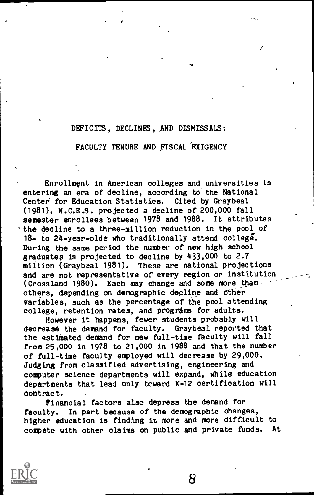## DEFICITS, DECLINFS,,AND DLSMISSALS:

FACULTY TENURE AND FISCAL 'EXIGENCY\_

Enrollment in American colleges and\_ universities is entering an era of decline, according to the National Center' for Education Statistics. Cited by Graybeal (1981), N.C.E.S. projected a decline of 200,000 fall semester enrollees between 1978 and 1988. It attributes the decline to a three-million reduction in the pool of 18- to 24-year-olds who traditionally attend college`. During the same period the number of new high school graduates is projected to decline by 433,000 to 2.7 million ( Graybeal 1981). These are national projections and are not representative of every region or institution (Crossland 1980). Each may change and some more thanothers, depending on demographic decline and other variables, such as the percentage of the pool attending college, retention rates, and programs for adults.

However it happens, fewer students probably will decrease the demand for faculty. Graybeal reported that the estimated demand for new full-time faculty will fall from 25,000 in 1978 to 21,000 in 1988 and that the number of full-time faculty employed will decrease by 29,000. Judging from classified advertising, engineering and computer science departments will expand, while education departments that lead only tcward K-12 certification will contract.

Financial factors also depress the demand for faculty. In part because of the demographic changes, higher education is finding it more and more difficult to compete with other claims on public and private funds. At

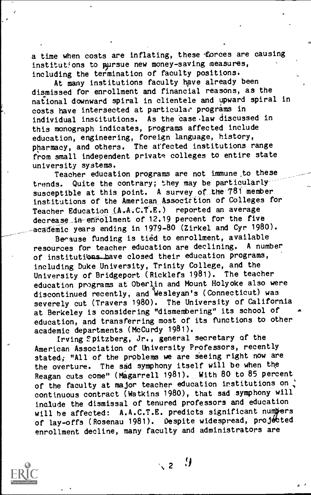a time when costs are inflating, these forces are causing institutions to pursue new money-saving measures, including the termination of faculty positions.

At many institutions faculty have already been dismissed for enrollment and financial reasons, as the national downward spiral in clientele and upward spiral in costs have intersected at particular programs in individual institutions. As the case law discussed in this monograph indicates, programs affected include education, engineering, foreign language, history, pharmacy, and others. The affected institutions range from small independent private colleges to entire state university systems.

Teacher education programs are not immune.to these trends. Quite the contrary; they may be particularly susceptible at this point. A survey of the 781 member institutions of the American\_Assocletion of Colleges for Teacher Education (A.A.C.T.E.) reported an average decrease\_in-ehrollment of 12.19 percent for the five academic years ending in 1979-80 (Zirkel and Cyr 1980).

Berause funding is tied to enrollment, available<br>pross for teacher education are declining. A number resources for teacher education are declining. of institutions have closed their education programs, including Duke University, Trinity College, and the<br>University of Bridgeport (Ricklefs 1981), The teacher University of Bridgeport (Ricklefs 1981). education programs at Oberlin and Mount Holyoke also were discontinued recently, and Wesleyan's (Connecticut) was severely cut (Travers 1980). The University of California at Berkeley is considering "dismembering" its school of education, and transferring most of its functions to other academic departments (McCurdy 1981).

Irving Fpitzberg, Jr., general secretary of the American Association of University Professors, recently stated; "All of the problems we are seeing right now are the overture. The sad symphony itself will be when the Reagan cuts come" (Magarrell 1981). With 80 to 85 percent of the faculty at major teacher education institutions on continuous contract (Watkins 1980), that sad symphony will include the dismissal of tenured professors and education will be affected: A.A.C.T.E. predicts significant numbers of lay-offs (Rosenau 1981). Despite widespread, projécted enrollment decline, many faculty and administrators are



 $\sim$  2  $\rightarrow$  9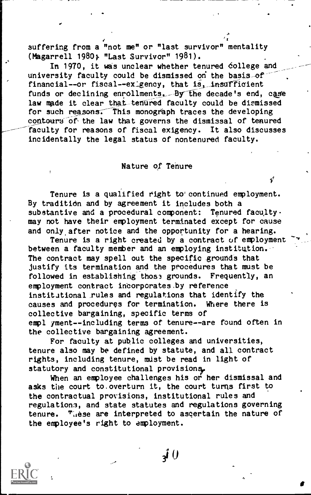suffering from a "not me" or "last survivor" mentality (Magarrell 1980; "Last Survivor" 1981).

a

In 1970, it was unclear whether tenured college and university faculty could be dismissed on the basis of financial--or fiscal--exigency, that is, insufficient funds or declining enrollments. By the decade's end, case law made it clear that tenured faculty could be dismissed for such reasons. This monograph traces the developing contours of the law that governs the dismissal of tenured faculty for reasons of fiscal exigency. It also discusses incidentally the legal status of nontenured faculty.

## Nature of Tehure

Tenure is a qualified right to'continued employment. By tradition and by agreement it includes both a substantive and a procedural component: Tenured facultymay not have their employment terminated except for cause and only after notice and the opportunity for a hearing.

Tenure is a right created by a contract of employment between a faculty member and an employing institution. The contract may spell out the specific grounds that justify its termination and the procedures that must be followed in establishing those grounds. Frequently, an employment contract incorporates. by reference institutional,rules and regulations that identify the causes and procedures for termination. Where there is collective bargaining, specific terms of empl yment--including terms of tenure--are found often in the collective bargaining agreement.

For faculty at public colleges and universities, tenure also may be defined by statute, and all contract rights, including tenure, must be read in light of statutory and constitutional provisions.

When an employee challenges his or her dismissal and asks the court to overturn it, the court turns first to the contractual provisions, institutional rules and regulations, and state statutes and regulations governing tenure.  $T_{\text{u}}$ ese are interpreted to ascertain the nature of the employee's right to amployment.

3i 0

 $-1$ -video e f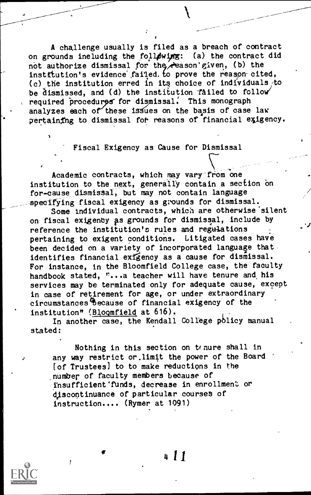A challenge usually is filed as a breach of contract<br>punds ineluding the following: (a) the contract did on grounds including the following: not authorize dismissal for the reason' given, (b) the institution's evidence failed. to prove the reason-cited, (c) the institution erred in its choice of individuals to be dismissed, and (d) the institution failed to follow required procedures for dismissal. This monograph analyzes each of these issues on the basis of case law pertaining to dismissal for reasons of financial exigency.

Fiscal Exigency as Cause for Dismissal

Academic contracts, which may vary-from one institution to the next, generally contain a section on for -cause dismissal, but may not contain language specifying fiscal exigency as grounds for dismissal.

Some individual contracts, which are otherwise' silent on fiscal exigenty ps grounds for dismissal, include by reference the institution's rules and regulations pertaining to exigent conditions. Litigated cases have been decided on a variety of incorporated language thatidentifies financial exigency as a cause for dismissal. For instance, in the Bloomfield College case, the faculty handbook stated, "...a teacher will have tenure and his services may be terminated only for adequate cause, except in case of retirement for age, or under extraordinary circumstances4because of financial exigency of the institution" (Blogmfield at 616).

In another case, the Kendall College policy manual stated:

Nothing in this section on tenure shall in any way restrict or.limit the power of the Board [of Trustees) to to make reductions in the number of faculty members because of insufficient'funds, decrease in enrollment or discontinuance of particular courses of instruction.... (Rymer at 1091)

4I1

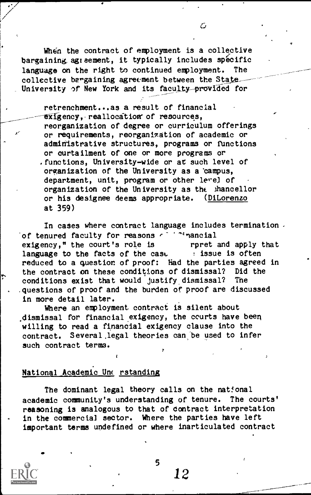When the contract of employment is a collective bargaining agreement, it typically includes specific language on the right to continued employment. The collective bargaining agreement between the State University of New York and its faculty-provided for

retrenchment...as a result of financial exigency, reallocation of resources, reorganization of degree or curriculum offerings or requirements, reorganization of academic or administrative structures, programs or functions or curtailment of one or more programs or .functions, University-wide or at such level of organization of the University as a 'campus, department, unit, program or other level of organization of the University as thc ihancellor or his designee deems appropriate. (DiLorenzo at 359)

In cases where contract language includes termination. of tenured faculty for reasons  $f^{-1}$  <sup>4</sup>nancial<br>exigency." the court's role is repret and apply that exigency," the court's role is language to the facts of the case issue is often reduced to a question of proof: Had the parties agreed in the contract on these conditions of dismissal? Did the conditions exist that would justify dismissal? The conditions exist that would justify dismissal? questions of proof and the burden of proof are discussed in more detail later.

Where an employment contract is silent about .dismissal for financial exigency, the courts have been willing to read a financial exigency clause into the contract. Several legal theories can be used to infer such contract terms.

## National Academic Unc rstanding

The dominant legal theory calls on the national academic community's understanding of tenure. The courts' reasoning is analogous to that of Contract interpretation in the commercial sector. Where the parties have left important terms undefined or where inarticulated contract



C.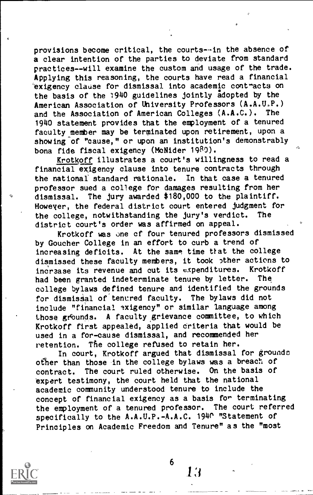provisions become critical, the courts--in the absence of a clear intention of the parties to deviate from standard practices--will examine the custom and usage of the trade. Applying this reasoning, the courts have read a financial exigency clause for dismissal into academic contracts on the basis of the 1940 guidelines jointly adopted by the American Association of University Professors (A.A.U,P.) and the Association of American Colleges (A.A.C.). The 1940 statement provides that the employment of a tenured faculty member may be terminated upon retirement, upon a showing of "cause," or upon an institution's demonstrably bona fide fiscal exigency (MeNider 1980).

Krotkoff illustrates a court's willingness to read a financial exigency clause into tenure contracts through the national standard rationale. In that case a tenured professor sued a college for damages resulting from her dismissal. The jury awarded \$180,000 to the plaintiff. However, the federal district court entered judgment for<br>the college inotwithstanding the jury's verdict. The the college, notwithstanding the jury's verdict. district court's order was affirmed on appeal.

Krotkoff was one cf four tenured professors dismissed by Goucher College in an effort to curb a trend of increasing deficits. At the same time ttat the college dismissed these faculty members, it took other actions to<br>indrease its revenue and out its expenditures. Krotkoff increase its revenue and cut its expenditures. Krotkoffed in the control of the paint of the had head and the had been granted indeterminate tenure by letter. college bylaws defined tenure and identified the grounds for dismissal of tenured faculty. The bylaws did not include "financial exigency" or similar language among those grounds. A faculty grievance committee, to which Krotkoff first appealed, applied criteria that would be used in a for-cause dismissal, and recommended her retention. The college refused to retain her.

In court, Krotkoff argued that dismissal for grounds other than those in the college bylaws was a breach of contract. The court ruled otherwise. On the basis of expert testimony, the court held that the national academic community understood tenure to include the concept of financial exigency as a basis for terminating<br>the employment of a tenured professor. The court referred the employment of a tenured professor. specifically to the A.A.U.P.-A.A.C. 1940 "Statement of Principles on Academic Freedom and Tenure" as the "most



 $\mathbf{6}$ 

1:i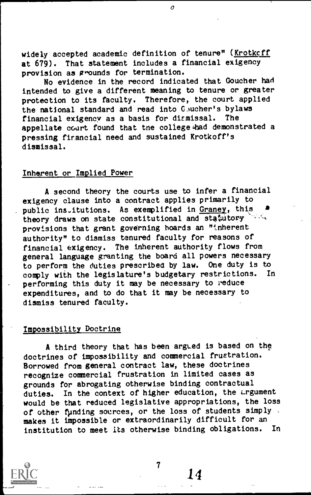widely accepted academic definition of tenure" (Krotkcff at 679). That statement includes a financial exigency provision as grounds for termination.

 $\overline{O}$ 

No evidence in the record indicated that Goucher had intended to give a different meaning to tenure or greater protection to its faculty. Therefore, the court applied the national standard and read into G.ucher's bylaws<br>financial exigency as a basis for dismissal. The financial exigency as a basis for dismissal. appellate court found that tne college had demonstrated a pressing financial need and sustained Krotkoff's dismissal.

## Inherent or Implied Power

A second theory the courts use to infer a financial exigency clause into a contract applies primarily to public institutions. As exemplified in  $G$ raney, this at the sense on state constitutional and statutory theory draws on state constitutional and statutory provisions that grant governing hoards an "inherent authority" to dismiss tenured faculty for reasons of financial exigency. The inherent authority flows from general language granting the board all powers necessary to perform the duties prescribed by law. One duty is to comply with the legislature's budgetary restrictions. In comply with the legislature's budgetary restrictions. performing this duty it may be necessary to reduce expenditures, and to do that it may be necessary to dismiss tenured faculty.

## Impossibility Doctrine

A third theory that has been argued is based on the doctrines of impossibility and commercial frustration. Borrowed from general contract law, these doctrines recognize commercial frustration in limited cases as grounds for abrogating otherwise binding contractual duties. In the context of higher education, the Lrgument would be that reduced legislative appropriations, the loss of other funding sources, or the loss of students simply makes it impossible or extraordinarily difficult for an institution to meet its otherwise binding obligations. In institution to meet its otherwise binding obligations.

7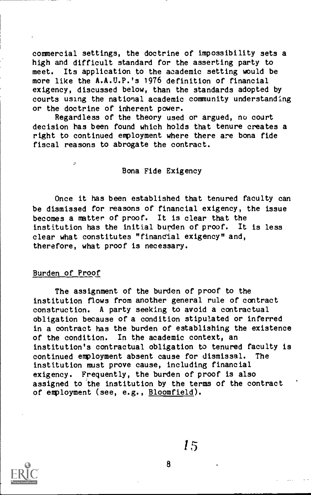commercial settings, the doctrine of impossibility sets a high and difficult standard for the asserting party to meet. Its application to the academic setting would be more like the A.A.U.P.'s 1976 definition of financial exigency, discussed below, than the standards adopted by courts using the national academic community understanding or the doctrine of inherent power.

Regardless of the theory used or argued, no court decision has been found which holds that tenure creates a right to continued employment where there are bona fide fiscal reasons to abrogate the contract.

## Bona Fide Exigency

Once it has been established that tenured faculty can be dismissed for reasons of financial exigency, the issue becomes a matter of proof. It is clear that the institution has the initial burden of proof. It is less clear what constitutes "financial exigency" and, therefore, what proof is necessary.

## Burden of Proof

Ä

The assignment of the burden of proof to the institution flows from another general rule of contract construction. A party seeking to avoid a contractual obligation because of a condition stipulated or inferred in a contract has the burden of establishing the existence of the condition. In the academic context, an institution's contractual obligation to tenured faculty is continued employment absent cause for dismissal. The institution must prove cause, including financial exigency. Frequently, the burden of proof is also assigned to the institution by the terms of the contract of employment (see, e.g., Bloomfield).

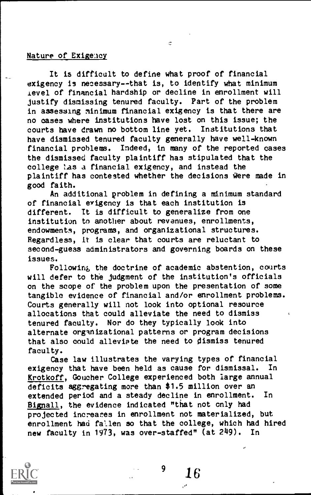## Nature of Exigency

It is difficult to define what proof of financial exigency is necessary--that is, to identify what minimum level of financial hardship or decline in enrollment will justify dismissing tenured faculty. Part of the problem in assessing minimum financial exigency is that there are no eases where institutions have lost on this issue; the courts have drawn no bottom line yet. Institutions that have dismissed tenured faculty generally have well-known financial problems. Indeed, in many of the reported cases the dismissed faculty plaintiff has stipulated that the college las a financial exigency, and instead the plaintiff has contested whether the decisions were made in good faith.

E.

An additional problem in defining a minimum standard of financial exigency is that each institution is different. It is difficult to generalize from one institution to another about revenues, enrollments, endowments, programs, and organizational structures. Regardless, it is clear that courts are reluctant to second-guess administrators and governing boards on these issues.

Following, the doctrine of academic abstention, courts will defer to the judgment of the institution's officials on the scope of the problem upon the presentation of some tangible evidence of financial and/or enrollment problems. Courts generally will not look into optional resource allocations that could alleviate the need to dismiss tenured faculty. Nor do they typically look into alternate organizational patterns or program decisions that also could alleviate the need to dismiss tenured faculty.

Case law illustrates the varying types of financial exigency that have been held as cause for dismissal. In Krotkoff, Goucher College experienced both large annual deficits aggregating more than \$1.5 million over an extended period and a steady decline in enrollment. In Bignall, the evidence indicated "that not only had projected increares in enrollment not materialized, but enrollment had fallen so that the college, which had hired new faculty in 1973, was over-staffed" (at 249). In



 $^{9}$  16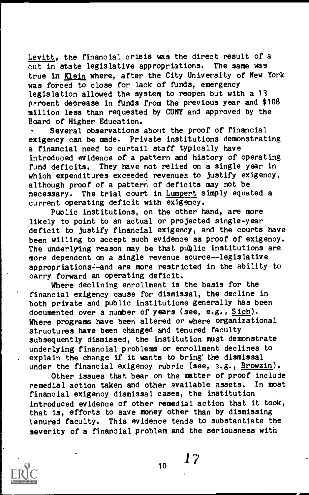Levitt, the financial crisis was the direct result of a cut in state legislative appropriations. The same was true in Klein where, after the City University of New York was forced to close for lack of funds, emergency legislation allowed the system to reopen but with a 13 percent decrease in funds from the previous year and \$108 million less than requested by CUNY and approved by the Board of Higher Education.

Several observations about the proof of financial exigency can be made. Private institutions demonstrating a financial need to curtail staff typically have introduced evidence of a pattern and history of operating fund deficits. They have not relied on a single year in which expenditures exceeded revenues to justify exigency, although proof of a pattern of deficits may not be necessary. The trial court in Lumpert simply equated a current operating deficit with exigency.

Public institutions, on the other hand, are more likely to point to an actual or projected single-year deficit to justify financial exigency, and the courts have been willing to accept such evidence as proof of exigency. The underlying reason may be that public institutions are more dependent on a single revenue source--legislative appropriations--and are more restricted in the ability to carry forward an operating deficit.

Where declining enrollment is the basis for the financial exigency cause for dismissal, the decline in both private and public institutions generally has been documented over a number of years (see, e.g., Sich). Where programs have been altered or where organizational structures have been changed and tenured faculty subsequently dismissed, the institution must demonstrate underlying financial problems or enrollment declines to explain the change if it wants to bring' the dismissal under the financial exigency rubric (see, s.g., Browzin).

Other issues that bear on the matter of proof include remedial action taken and other available assets. In most financial exigency dismissal cases, the institution introduced evidence of other remedial action that it took, that is, efforts to save money other than by dismissing tenured faculty. This evidence tends to substantiate the severity of a financial problem and the seriousness with



10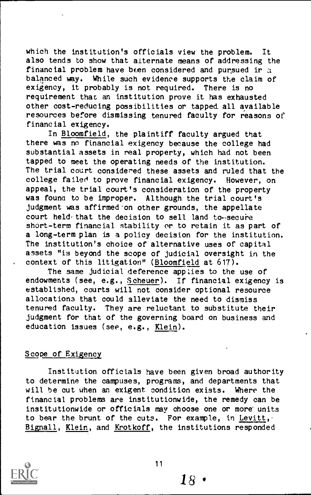which the institution's officials view the problem. It also tends to show that alternate means of addressing the financial problem have been considered and pursued ir  $a$ balanced way. While such evidence supports the claim of exigency, it probably is not required. There is no requirement that an institution prove it has exhausted other cost-reducing possibilities or tapped all available resources before dismissing tenured faculty for reasons of financial exigency.

In Bloomfield, the plaintiff faculty argued that there was no financial exigency because the college had substantial assets in real property, which had not been tapped to meet the operating needs of the institution. The trial court considered these assets and ruled that the college failed to prove financial exigency. However, on appeal, the trial court's consideration of the property was founa to be improper. Although the trial court's judgment was affirmed'on other grounds, the appellate court held-that the decision to sell land to-secure short-term financial stability or to retain it as part of a long-term plan is a policy decision for the institution. The institution's choice of alternative uses of capital assets "is beyond the scope of judicial oversight in the context of this litigation" (Bloomfield at 617).

The same judicial deference applies to the use of endowments (see, e.g., Scheuer). If financial exigency is established, courts will not consider optional resource allocations that could alleviate the need to dismiss tenured faculty. They are reluctant to substitute their judgment for that of the governing board on business and education issues (see, e.g., Klein).

## Scope of Exigency

Institution officials have been given broad authority to determine the campuses, programs, and departments that will be cut when an exigent condition exists. Where the financial problems are institutionwide, the remedy can be institutionwide or officials may choose one or more units to bear the brunt of the cuts. For example, in Levitt, Bignall, Klein, and Krotkoff, the institutions responded



 $18$  .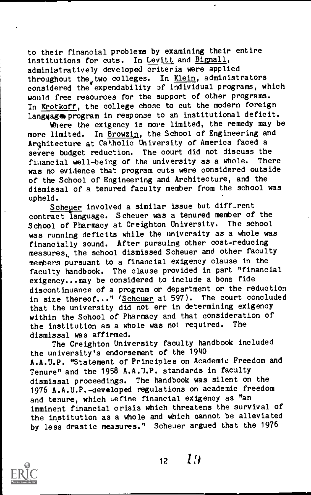to their financial problems by examining their entire institutions for cuts. In Levitt and Bignall, administratively developed criteria were applied throughout the two colleges. In Klein, administrators considered the expendability of individual programs, which would free resources for the support of other programs. In Krotkoff, the college chose to cut the modern foreign language program in response to an institutional deficit.

Where the exigency is more limited, the remedy may be more limited. In Browzin, the School of Engineering and Architecture at Catholic University of America faced a severe budget reduction. The court did not discuss the<br>financial well-being of the university as a whole. There financial well-being of the university as a whole. was no evidence that program cuts were considered outside of the School of Engineering and Architecture, and the dismissal of a tenured faculty member from the school was upheld.

Scheuer involved a similar issue but diff-rent contract language. S cheuer was a tenured member of the School of Pharmacy at Creighton University. The school was running deficits while the university as a whole was financially sound. After pursuing other cost-reducing measures, the school dismissed Scheuer and other faculty members pursuant to a financial exigency clause in the faculty handbook. The clause provided in part "financial exigency...may be considered to include a bona fide discontinuance of a program or department or the reduction in size thereof..." (Scheuer at 597). The court concluded that the university did not err in determining exigency within the School of Pharmacy and that consideration of<br>the institution as a whole was not required. The the institution as a whole was not required. dismissal was affirmed.

The Creighton University faculty handbook included the university's endorsement of the 1940 A.A.U.P. "Statement of Principles on Academic Freedom and Tenure" and the 1958 A.A.U.P. standards in faculty dismissal proceedings. The handbook was silent on the 1976 A.A.U.P.-developed regulations on academic freedom and tenure, which *cefine financial exigency* as "an imminent financial crisis which threatens the survival of the institution as a whole and which cannot be alleviated by less drastic measures." Scheuer argued that the 1976



 $12 \quad 19$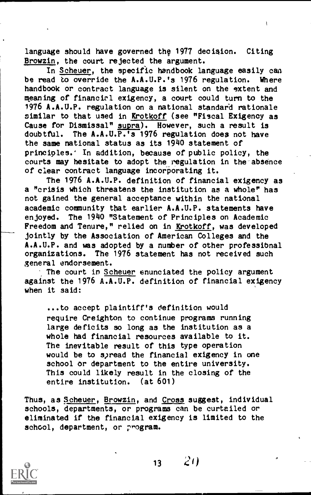language should have governed thg 1977 decision. Citing Browzin, the court rejected the argument.

Assessment of the con-

In Scheuer, the specific handbook language easily can be read to override the A.A.U.P.'s 1976 regulation. Where handbook or contract language is silent on the extent and meaning of financirl exigency, a court could turn to the 1976 A.A.U.P. regulation on a national standard rationale similar to that used in Krotkoff (see "Fiscal Exigency as Cause for Dismissal" supra). However, such a result is doubtful. The A.A.U.P.'s 1976 regulation does not have the same national status as its 1940 statement of principles.' In addition, because of public policy, the courts may hesitate to adopt the regulation in the absence of clear contract language incorporating it.

The 1976 A.A.U.P. definition of financial exigency as a "crisis which threatens the institution as a whole" has not gained the general acceptance within the national academic community that earlier A.A.U.P. statements have enjoyed. The 1940 "Statement of Principles on Academic Freedom and Tenure," relied on in Krotkoff, was developed jointly by the Association of American Colleges and the A.A.U.P. and was adopted by a number of other professibnal<br>organizations. The 1976 statement has not received such The 1976 statement has not received such general endorsement.

The court in Scheuer enunciated the policy argument against the 1976 A.A.U.P. definition of financial exigency when it said:

...to accept plaintiff's definition would require Creighton to continue programs running large deficits so long as the institution as a whole had financial resources available to it. The inevitable result of this type operation would be to spread the financial exigency in one school or department to the entire university. This could likely result in the closing of the entire institution. (at 601)

Thus, as Scheuer, Browzin, and Cross suggest, individual schools, departments, or programs can be curtailed or eliminated if the financial exigency is limited to the school, department, or program.



13

 $(2)$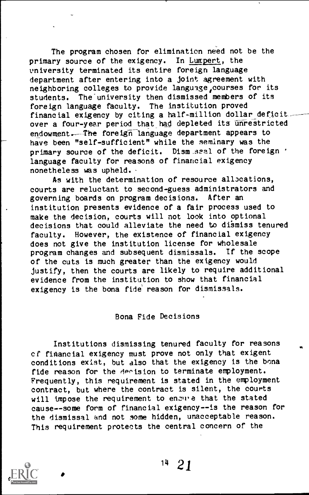The program chosen for elimination need not be the primary source of the exigency. In Lumpert, the vniversity terminated its entire foreign language department after entering into a joint agreement with neighboring colleges to provide language courses for its students. The university then dismissed members of its foreign language faculty. The institution proved financial exigency by citing a half-million dollar deficit. over a four-year period that had depleted its unrestricted endowment. The foreign language department appears to have been "self-sufficient" while the seminary was the primary source of the deficit. Dism seal of the foreign . language faculty for reasons of financial exigency nonetheless was upheld.

As with the determination of resource allocations, courts are reluctant to second-guess administrators and governing boards on program decisions. After an institution presents evidence of a fair process used to make the decision, courts will not look into optional decisions that could alleviate the need to dismiss tenured faculty. However, the existence of financial exigency does not give the institution license for wholesale program changes and subsequent dismissals. If the scope of the cuts is much greater than the exigency would justify, then the courts are likely to require additional evidence from the institution to show that financial exigency is the bona fide reason for dismissals.

#### Bona Fide Decisions

Institutions dismissing tenured faculty for reasons cf financial exigency must prove not only that exigent conditions exist, but also that the exigency is the bona fide reason for the decision to terminate employment. Frequently, this requirement is stated in the employment contract, but where the contract is silent, the courts will impose the requirement to enzure that the stated cause--some form of financial exigency--is the reason for the dismissal and not some hidden, unacceptable reason. This requirement protects the central concern of the

<sup>14</sup> 21

a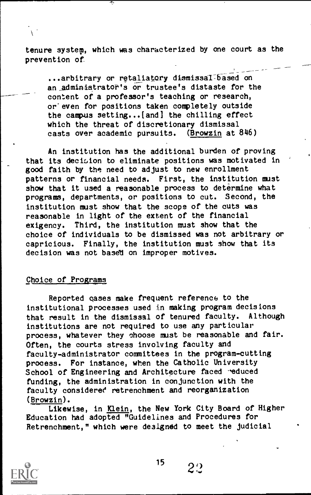tenure system, which was characterized by one court as the prevention of

...arbitrary or retaliatory dismissal-based on an administrator's or trustee's distaste for the content of a professor's teaching or research, or'even for positions taken completely outside the campus setting...(and] the chilling effect which the threat of discretionary dismissal casts over academic pursuits. (Browzin at 846)

An institution has the additional burden of proving that its decision to eliminate positions was motivated in good faith by the need to adjust to new enrollment patterns or financial needs. First, the institution must show that it used a reasonable process to determine what programs, departments, or positions to cut. Second, the institution must show that the scope of the cuts was reasonable in light of the extent of the financial exigency. Third, the institution must show that the choice of individuals to be dismissed was not arbitrary or capricious. Finally, the institution must show that its decision was not based on improper motives.

## Choice of Programs

Reported gases make frequent reference to the institutional processes used in making program decisions that result in the dismissal of tenured faculty. Although institutions are not required to use any particular process, whatever they choose must be reasonable and fair. Often, the courts stress involving faculty and faculty-administrator committees in the program-cutting process. For instance, when the Catholic University School of Engineering and Architecture faced reduced funding, the administration in conjunction with the faculty considered retrenchment and reorganization (Browzin).

Likewise, in Klein, the New York City Board of Higher Education had adopted "Guidelines and Procedures for Retrenchment," which were designed to meet the judicial



 $2^{\circ}$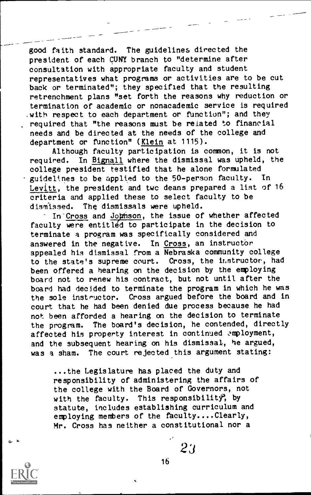good faith standard. The guidelines directed the president of each CUNY branch to "determine after consultation with appropriate faculty and student representatives what programs or activities are to be cut back or terminated"; they specified that the resulting retrenchment plans "set forth the reasons why reduction or termination of academic or nonacademic service is required with respect to each department or function"; and they required that "the reasons must be related to financial needs and be directed at the needs of the college and department or function" (Klein at 1115).

Although faculty participation is common, it is not required. In Bignall where the dismissal was upheld, the college president testified that he alone formulated guidelines to be applied to the 50-person faculty. In Levitt, the president and twc deans prepared a list of 16 criteria and applied these to select faculty to be dismissed. The dismissals were upheld.

In Cross and Johnson, the issue of whether affected faculty were entitled to participate in the decision to terminate a program was specifically considered and answered in the negative. In Cross, an instructor appealed his dismissal from a Nebraska community college to the state's supreme court. Cross, the instructor, had been offered a hearing on the decision by the employing board not to renew his contract, but not until after the board had decided to terminate the program in which he was the sole instructor. Cross argued before the board and in Cross argued before the board and in court that he had been denied due process because he had not been afforded a hearing on the decision to terminate the program. The board's decision, he contended, directly affected his property interest in continued cmployment, and the subsequent hearing on his dismissal, he argued, was a sham. The court rejected this argument stating:

...the Legislature has placed the duty and responsibility of administering the affairs of the college with the Board of Governors, not with the faculty. This responsibility, by statute, includes establishing curriculum and employing members of the faculty....Clearly, Mr. Cross has neither a constitutional nor a



0,

23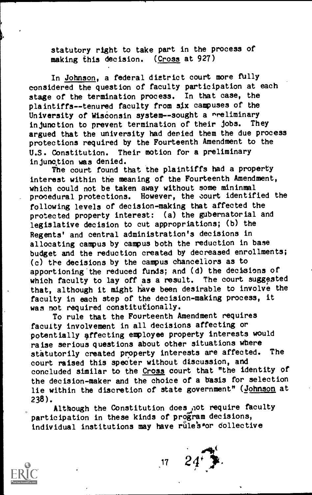statutory right to take part in the process of making this decision. (Cross at 927)

In Johnson, a federal district court more fully considered the question of faculty participation at each stage of the termination process. In that case, the plaintiffs--tenured faculty from six campuses of the University of Wisconsin system--sought a preliminary<br>in tunction to prevent termination of their jobs. They injunction to prevent termination of their jobs. argued that the university had denied them the due process protections required by the Fourteenth Amendment to the U.S. Constitution. Their motion for a preliminary in junction was denied.

The court found that the plaintiffs had a property interest within the meaning of the Fourteenth Amendment, which could not be taken away without some mininmal procedural protections. However, the court identified the following levels of decision-making that affected the protected property interest: (a) the gubernatorial and legislative decision to cut appropriations; (b) the Regents' and central administration's decisions in allocating campus by campus both the reduction in base budget and the reduction created by decreased enrollments; (c) tne decisions by the campus chancellors as to apportioning'the reduced funds; and (d) the decisions of which faculty to lay off as a result. The court suggested that, although it might have been desirable to involve the faculty in each step of the decision-making process, it was not required constitutionally.

To rule that the Fourteenth Amendment requires faculty involvement in all decisions affecting or potentially affecting employee property interests would raise serious questions about other situations where<br>statutorily orgated property interests are affected. The statutorily created property interests are affected. court raised this specter without discussion, and concluded similar to the Cross court that "the identity of the decision-maker and the choice of a basis for selection lie within the discretion of state government" (Johnson at 238).

Although the Constitution does not require faculty participation in these kinds of program decisions, individual institutions may have rule's or collective

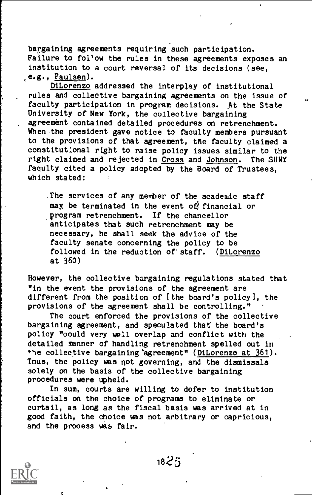bargaining agreements requiring such participation. Failure to follow the rules in these agreements exposes an institution to a court reversal of its decisions (see, e.g., Paulsen).

DiLorenzo addressed the interplay of institutional rules and collective bargaining agreements on the issue of  $\Gamma$ faculty participation in program decisions. At the State University of New York, the collective bargaining agreement contained detailed procedures on retrenchment. When the president gave notice to faculty members pursuant to the provisions of that agreement, the faculty claimed a constitutional right to raise policy issues similar to the right claimed and rejected in Cross and Johnson. The SUNY faculty cited a policy adopted by the Board of Trustees, which stated:

.The services of any member of the academic staff may, be terminated in the event of financial or program retrenchment. If the chancellor anticipates that such retrenchment may be necessary, he shall seek the advice of the faculty senate concerning the policy to be followed in the reduction of staff. (DiLorenzo at 360)

However, the collective bargaining regulations stated that "in the event the provisions of the agreement are different from the position of [the board's policy], the provisions of the agreement shall be controlling."

The court enforced the provisions of the collective bargaining agreement, and speculated that the board's policy "could very well overlap and conflict with the detailed manner of handling retrenchment spelled out in the collective bargaining 'agreement" (DiLorenzo at 361). Tnus, the policy was not governing, and the dismissals solely on the basis of the collective bargaining procedures were upheld.

In sum, courts are willing to defer to institution officials on the choice of programs to eliminate or curtail, as long as the fiscal basis was arrived at in good faith, the choice was not arbitrary or capricious, and the process was fair.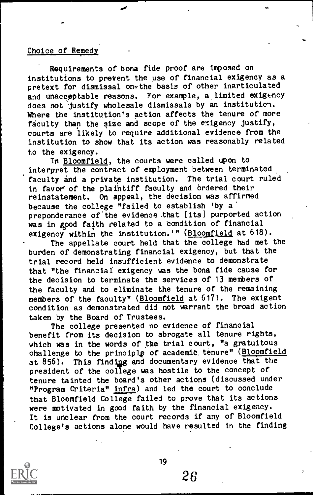## Choice of Remedy

Requirements of bona fide proof are imposed on institutions to preVent the use of financial exigency as a pretext for dismissal onothe basis of other inarticulated and unacceptable reasons. For example, a\_limited exigency does not justify wholesale dismissals by an institution. Where the institution's action affects the tenure of more faculty than the size and scope of the exigency justify, courts are likely to require additional evidence from the institution to show that its action was reasonably related to the exigency.

In **Bloomfield**, the courts were called upon to interpret the contract of employment between terminated faculty and a private institution. The trial court ruled in favor of the plaintiff faculty and ordered their reinstatement. On appeal, the decision was affirmed because the college "failed to establish 'by a' preponderance of the evidence that [its] purported action was in good faith related to a condition of financial exigency within the institution.'" (Bloomfield at 618).

The appellate court held that the college had met the burden of demonstrating financial exigency, but that the trial record held insufficient evidence to demonstrate that "the financial exigency was the bona fide cause for the decision to terminate the services of 13 members of the faculty and to eliminate the tenure of the remaining members of the faculty" (Bloomfield at 617). The exigent condition as demonstrated did not warrant the broad action taken by the Board of Trustees.

The college presented no evidence of financial benefit from its decision to abrogate all tenure rights, which was in the words of the trial court, "a gratuitous challenge to the principle of academic tenure" (Bloomfield at 856). This finding and documentary evidence that the president of the college was hostile to the concept of tenure tainted the board's other actions (discussed under "Program Criteria" infra) and led the court to conclude that Bloomfield College failed to prove that its actions were motivated in good faith by the financial exigency. It is unclear from the court records if any of Bloomfield College's actions alone would have resulted in the finding

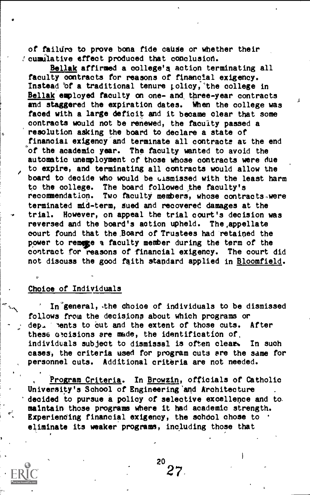of failure to prove bona fide cause or whether their cumulative effect produced that conclusion.

Beliak affirmed a oollege's action terminating all faculty contracts for reasons of financial exigency. Instead of a traditional tenure policy, the college in Bellak employed faculty on one- and three-year contracts and staggered the expiration dates. When the college was faced with a large deficit and it became clear that some contracts would not be renewed, the faculty passed a resolution asking the board to declare a state of financial exigency and terminate all contracts at the end of the academic year. The faculty wanted to avoid the automatic unemployment of those whose contracts were due to expire, and terminating all contracts would allow the board to decide who would be ulsmissed with the least harm to the college. The board followed the faculty's recommendation. Two faculty members, whose contracts were terminated mid-term, Sued and recovered damages at the trial. However, on appeal the trial court's decision was reversed and the board's aotion upheld. The,appellate court found that the ,Board of Trustees had retained the power to remage a faculty member during the term of the contract for reasons of financial exigency. The court did not discuss the good faith standard applied in Bloomfield.

#### Choice of Individuals

In'general, .the choice of individuals to be dismissed follows from the decisions about which programs or dep. nents to out and the extent of those cuts. After these a'cisions are made, the identification of, individuals subject to dismissal is often clear. In such cases, the criteria used for program cuts are the same for personnel cuts. Additional criteria are not needed.

Program Criteria. In Browzin, officials of Catholic University's School of Engineering'and Architecture decided to pursue a policy of selective excellence and to. maintain those programs where it had academic strength. Experiending financial exigency, the school chose to . eliminate its weaker programs, including those that

 $20<sub>-</sub>$ 27.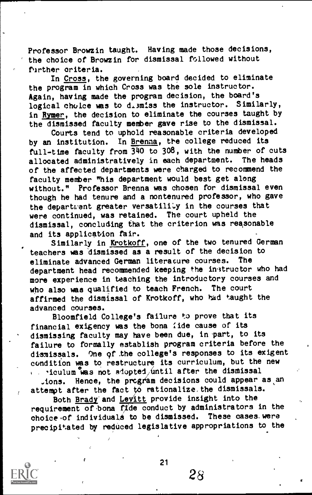Professor Browzin taught. Having made those decisions, the choice of Browzin for dismissal followed without<br>further oriteria. further criteria.

In Cross, the governing board decided to eliminate the program in which Cross was the sole instructor. Again, having made the program decision, the board's logical choice was to dismiss the instructor. Similarly, in Rymer, the decision to eliminate the courses taught by the dismissed faculty member gave rise to the dismissal.

Courts tend to uphold reasonable criteria developed by an institution. In Brenna, the college reduced its full-time faculty from  $340$  to  $308$ , with the number of cuts<br>allogated administratively in each department. The heads allocated administratively in each department. of the affected departments were charged to recommend the faculty member "his department would best get along without." Professor Brenna was chosen for dismissal even though he had tenure and a nontenured professor, who gave the department greater versatility in the courses that were continued, was retained. The court upheld the dismissal, concluding that the criterion was reasonable and its application fair.

Similarly in Krotkoff, one of the two tenured German teachers was dismissed as a result of the decision to eliminate advanced German literature courses. department head recommended keeping the instructor who had more experience in teaching the introductory courses and who also was qualified to teach French. The court affirmed the dismissal of Krotkoff, who had taught the advanced courses.

Bloomfield College's failure to prove that its financial exigency was the bona fide cause of its dismissing faculty may have been due, in part, to its failure to formally establish program criteria before the dismissals. One gf the college's responses to its exigent condition was to restructure its curriculum, but the new  $i$  viculum was not adopted until after the dismissal

 $\lrcorner$  ions. Hence, the program decisions could appear as an attempt after the fact to rationalize the dismissals.

ide conquet p Both Brady and Levitt provide insight into the requirement of bona  $\overline{f$ *i* de conduct by administrators in the choice of individuals to be dismissed. These cases were precipitated by reduced legislative appropriations to the



21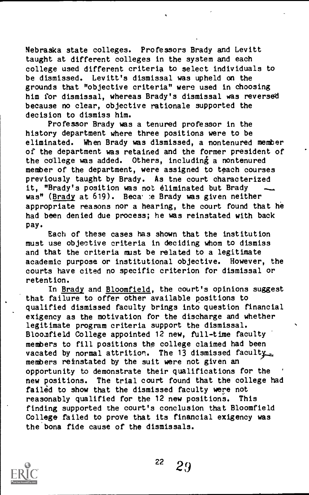Nebraska state colleges. Professors Brady and Levitt taught at different colleges in the system and each college used different criteria to select individuals to be dismissed. Levitt's dismissal was upheld on the grounds that "objective criteria" were used in choosing him for dismissal, whereas Brady's dismissal was reversed because no clear, objective rationale supported the decision to dismiss him.

Professor Brady was a tenured professor in the history department where three positions were to be eliminated. When Brady was dismissed, a nontenured member of the department was retained and the former president of the college was added. Others, including a nontenured member of the department, were assigned to teach courses previously taught by Brady. As tne court characterized it, "Brady's position was not eliminated but Brady was" (Brady at 619). Beca e Brady was given neither appropriate reasons nor a hearing, the court found that he had been denied due process; he was reinstated with back pay.

Each of these cases has shown that the institution must use objective criteria in deciding whom to dismiss and that the criteria must be related to a legitimate academic purpose or institutional objective. However, the courts have cited no specific criterion for dismissal or retention.

In Brady and Bloomfield, the court's opinions suggest that failure to offer other available positions to qualified dismissed faculty brings into question financial exigency as the motivation for the discharge and whether legitimate program criteria support the dismissal. Bloomfield College appointed 12 new, full-time faculty members to fill positions the college claimed had been vacated by normal attrition. The 13 dismissed faculty... members reinstated by the suit were not given an opportunity to demonstrate their qualifications for the new positions. The trial court found that the college had failed to show that the dismissed faculty were not reasonably qualified for the 12 new positions. This finding supported the court's conclusion that Bloomfield College failed to prove that its financial exigency was the bona fide cause of the dismissals.

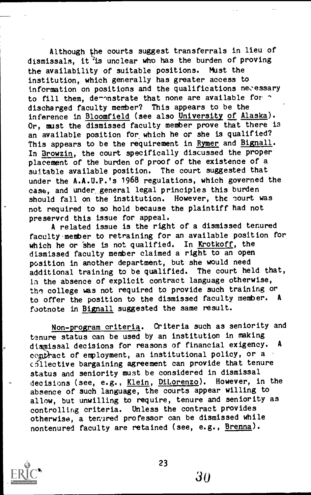Although the courts suggest transferrals in lieu of dismissals, it is unclear who has the burden of proving the availability of suitable positions. Must the institution, which generally has greater access to information on positions and the qualifications necessary to fill them, demonstrate that none are available for  $\gamma$ discharged faculty member? This appears to be the inference in Bloomfield (see also University of Alaska). Or, must the dismissed faculty member prove that there is an available position for which he or she is qualified? This appears to be the requirement in Rymer and Bignall. In Browzin, the court specifically discussed the proper placement of the burden of proof of the existence of a suitable available position. The court suggested that under the A.A.U.P.'s 1968 regulations, which governed the case, and under general legal principles this burden should fall on the institution. However, the court was not required to so hold because the plaintiff had not preserved this issue for appeal.

A related issue is the right of a dismissed tenured faculty member to retraining for an available position for which he or she is not qualified. In Krotkoff, the dismissed faculty member claimed a right to an open position in another department, but she would need additional training to be qualified. The court held that, in the absence of explicit contract language otherwise, the college was not required to provide such training or to offer the position to the dismissed faculty member. A footnote in Bignall suggested the same result.

Non-program criteria. Criteria such as seniority and tenure status can be used by an institution in making<br>disminsel decisions for reasons of financial exigency. A dismissal decisions for reasons of financial exigency. contract of employment, an institutional policy, or a collective bargaining agreement can provide that tenure status and seniority must be considered in dismissal decisions (see, e.g., Klein, DiLorenzo). However, in the absence of such language, the courts appear willing to allow, but unwilling to require, tenure and seniority as controlling criteria. Unless the contract provides otherwise, a tenured professor can be dismissed while nontenured faculty are retained (see, e.g., Brenna).

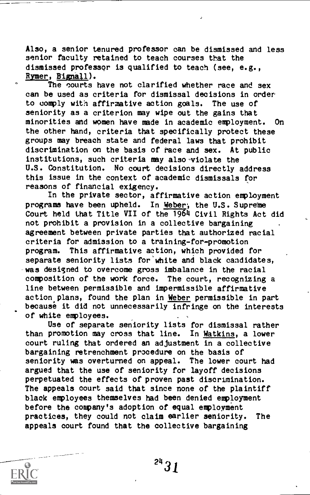Also, a senior tenured professor can be dismissed and less senior faculty retained to teach courses that the dismissed professor is qualified to teach (see, e.g., Rymer, Bignall).

The courts have not clarified whether race and sex can be used as criteria for dismissal decisions in order to comply with affirmative action goals. The use of seniority as a criterion may wipe out the gains that minorities and women have made in academic employment. On the other hand, criteria that specifically protect these groups may breach state and federal laws that prohibit discrimination on the basis of race and sex. At public institutions, such criteria may also violate the U.S. Constitution. No court decisions directly address this issue in the context of academic dismissals for reasons of financial exigency.

In the private sector, affirmative action employment programs have been upheld. In Weber, the U.S. Supreme Court held that Title VII of the 1964 Civil Rights Act did not prohibit a provision in a collective bargaining agreement between private parties that authorized racial criteria for admission to a training-for-promotion program. This affirmative action, which provided for separate seniority lists for white and black candidates, was designed to overcome gross imbalance in the racial composition of the work force. The court, recognizing a line between permissible and impermissible affirmative action plans, found the plan in Weber permissible in part because it did not unnecessarily infringe on the interests of white employees.

Use of separate seniority lists for dismissal rather than promotion may cross that line. In Watkins, a lower court ruling that ordered an adjustment in a collective bargaining retrenchment procedure on the basis of seniority was overturned on appeal. The lower court had argued that the use of seniority for layoff decisions perpetuated the effects of proven past discrimination. The appeals court said that since none of the plaintiff black employees themselves had been denied employment before the company's adoption of equal employment practices, they could not claim earlier seniority. The appeals court found that the collective bargaining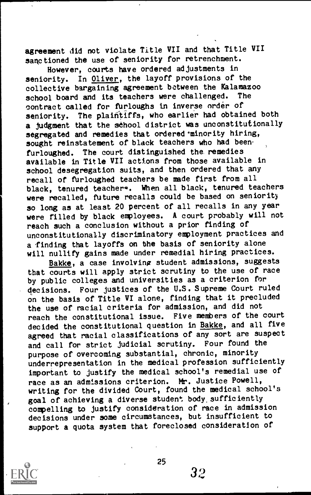agreement did not violate Title VII and that Title VII sanctioned the use of seniority for retrenchment.

However, courts have ordered adjustments in seniority. In Oliver, the layoff provisions of the collective bargaining agreement between the Kalamazoo school heard and its teachers were challenged. The school board and its teachers were challenged. contract called for furloughs in inverse order of seniority. The plaintiffs, who earlier had obtained both a judgment that the school district was unconstitutionally segregated and remedies that ordered minority hiring, sought reinstatement of black teachers who had been. furloughed. The court distinguished the remedies available in Title VII actions from those available in school desegregation suits, and then ordered that any recall of furloughed teachers be made first from all black, tenured teachere. When all black, tenured teachers were recalled, future recalls could be based on seniority so long as at least 20 percent of all recalls in any year were filled by black employees. A court probably will not reach such a conclusion without a prior finding of unconstitutionally discriminatory employment practices and a finding that layoffs on the basis of seniority alone will nullify gains made under remedial hiring practices.

Bakke, a case involving student admissions, suggests that courts will apply strict scrutiny to the use of race by public colleges and universities as a criterion for decisions. Four justices of the U.S. Supreme Court ruled on the basis of Title VI alone, finding that it precluded the use of racial criteria for admission, and did not reach the constitutional issue. Five members of the court decided the constitutional question in Bakke, and all five agreed that racial classifications of any sort are suspect and call for strict judicial scrutiny. Four found the purpose of overcoming substantial, chronic, minority underrepresentation in the medical profession sufficiently important to justify the medical school's remedial use of race as an admissions criterion. Mr. Justice Powell, writing for the divided Court, found the medical school's goal of achieving a diverse student body,sufficiently compelling to justify consideration of race in admission decisions under some circumstances, but insufficient to support a quota system that foreclosed consideration of

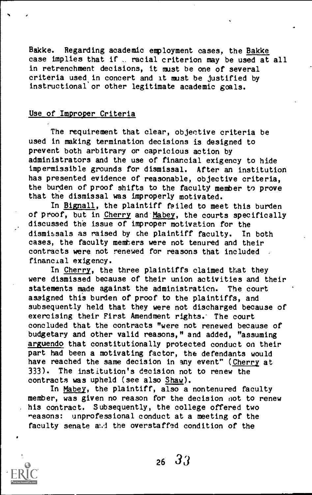Bakke. Regarding academic employment cases, the Bakke case implies that if  $\sqrt{r}$  racial criterion may be used at all in retrenchment decisions, it must be one of several criteria used in concert and it must be justified by instructional or other legitimate academic goals.

#### Use of Improper Criteria

The requirement that clear, objective criteria be used in making termination decisions is designed to prevent both arbitrary or capricious action by administrators and the use of financial exigency to hide impermissible grounds for dismissal. After an institution has presented evidence of reasonable, objective criteria, the burden of proof shifts to the faculty member to prove that the dismissal was improperly motivated.

In Bignall, the plaintiff failed to meet this burden of proof, but in Cherry and Mabey, the courts specifically discussed the issue of improper motivation for the dismissals as raised by the plaintiff faculty. In both cases, the faculty memhers were not tenured and their contracts were not renewed for reasons that included financial exigency.

In Cherry, the three plaintiffs claimed that they were dismissed because of their union activities and their statements made against the administration. The court assigned this burden of proof to the plaintiffs, and subsequently held that they were not discharged because of exercising their First Amendment rights.' The court concluded that the contracts "were not renewed because of budgetary and other valid reasons," and added, "assuming arguendo that constitutionally protected conduct on their part had been a motivating factor, the defendants would have reached the same decision in any event" (Cherry at 333). The institution's decision not to renew the contracts was upheld (see also Shaw).

In Mabey, the plaintiff, also a nontenured faculty member, was given no reason for the decision not to renew his contract. Subsequently, the college offered two reasons: unprofessional conduct at a meeting of the faculty senate and the overstaffed condition of the

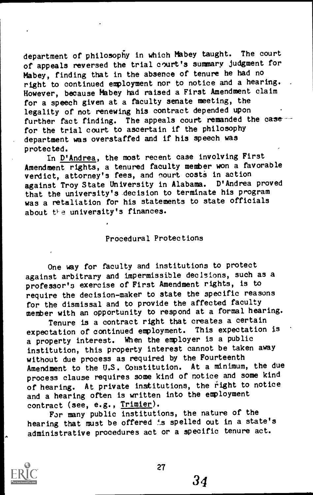department of philosophy in which Mabey taught. The court of appeals reversed the trial court's summary judgment for Mabey, finding that in the absence of tenure he had no right to continued employment nor to notice and a hearing. . However, because Mabey had raised a First Amendment claim for a speech given at a faculty senate meeting, the legality of not renewing his contract depended upon further fact finding. The appeals court remanded the case for the trial court to ascertain if the philosophy department was overstaffed and if his speech was protected.

In D'Andrea, the most recent case involving First Amendment rights, a tenured faculty member won a favorable verdict, attorney's fees, and court costs in action against Troy State University in Alabama. D'Andrea proved that the university's decision to terminate his program was a retaliation for his statements to state officials about the university's finances.

#### Procedural Protections

One way for faculty and institutions to protect against arbitrary and impermissible decisions, such as a professor's exercise of First Amendment rights, is to require the decision-maker to state the specific reasons for the dismissal and to provide the affected faculty member with an opportunity to respond at a formal hearing.

Tenure is a contract right that creates a certain expectation of continued employment. This expectation is a property interest. When the employer is a public institution, this property interest cannot be taken away without due process as required by the Fourteenth Amendment to the U.S. Constitution. At a minimum, the due process clause requires some kind of notice and some kind of hearing. At private institutions, the right to notice and a hearing often is written into the employment contract (see, e.g., Trimier).

For many public institutions, the nature of the hearing that must be offered '.s spelled out in a state's administrative procedures act or a specific tenure act.

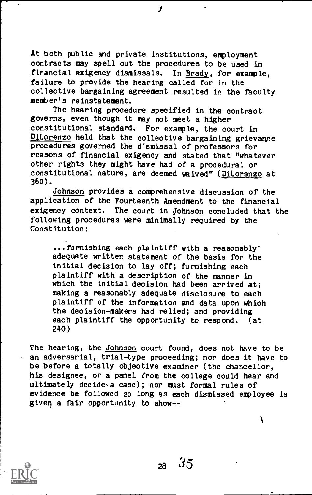At both public and private institutions, employment contracts may spell out the procedures to be used in financial exigency dismissals. In Brady, for example, failure to provide the hearing called for in the collective bargaining agreement resulted in the faculty member's reinstatement.

The hearing procedure specified in the contract governs, even though it may not meet a higher constitutional standard. For example, the court in DiLorenzo held that the collective bargaining grievance procedures governed the d'smissal of professors for reasons of financial exigency and stated that "whatever other rights they might have had of a procedural or constitutional nature, are deemed waived" (DiLorenzo at 360).

Johnson provides a comprehensive discussion of the application of the Fourteenth Amendment to the financial exigency context. The court in Johnson concluded that the following procedures were minimally required by the Constitution:

...furnishing each plaintiff with a reasonably" adequate written statement of the basis for the initial decision to lay off; furnishing each plaintiff with a description of the manner in which the initial decision had been arrived at; making a reasonably adequate disclosure to each plaintiff of the information and data upon which the decision-makers had relied; and providing each plaintiff the opportunity to respond. (at 240)

The hearing, the Johnson court found, does not have to be an adversarial, trial-type proceeding; nor does it have to be before a totally objective examiner (the chancellor, his designee, or a panel from the college could hear and ultimately decide-a case); nor must formal rules of evidence be followed so long as each dismissed employee is given a fair opportunity to show--



 $28 \quad 35$ 

١

J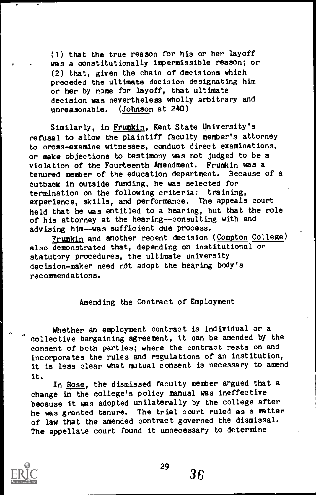(1) that the true reason for his or her layoff was a constitutionally impermissible reason; or (2) that, given the chain of decisions which preceded the ultimate decision designating him or her by name for layoff, that ultimate decision was nevertheless wholly arbitrary and unreasonable. (Johnson at 240)

Similarly, in Frumkin, Kent State University's refusal to allow the plaintiff faculty member's attorney to cross-examine witnesses, conduct direct examinations, or make objections to testimony was not judged to be a violation of the Fourteenth Amendment. Frumkin was a tenured member of the education department. Because of a cutback in outside funding, he was selected for termination on the following criteria: training, experience, skills, and performance. The appeals court held that he was entitled to a hearing, but that the role of his attorney at the hearing--consulting with and advising him--was sufficient due process.

Frumkin and another recent decision (Compton College) also demonstrated that, depending on institutional or statutory procedures, the ultimate university decision-maker need not adopt the hearing body's recommendations.

## Amending the Contract of Employment

Whether an employment contract is individual or a collective bargaining agreement, it can be amended by the consent of both parties; where the contract rests on and incorporates the rules and regulations of an institution, it is less clear what mutual consent is necessary to amend it.

In Rose, the dismissed faculty member argued that a change in the college's policy manual was ineffective because it was adopted unilaterally by the college after he was granted tenure. The trial court ruled as a matter of law that the amended contract governed the dismissal. The appellate court found it unnecessary to determine



 $\frac{29}{36}$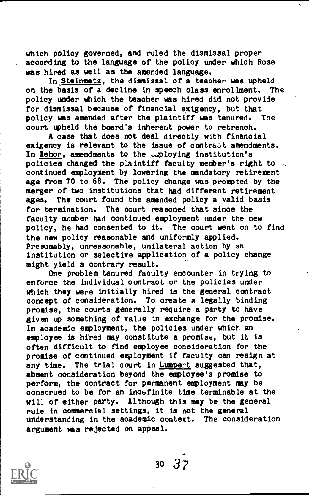which policy governed, and ruled the dismissal proper according to the language of the policy under which Rose was hired as well as the amended language.

In Steinmetz, the dismissal of a teacher was upheld on the basis of a decline in speech class enrollment. The policy under which the teacher was hired did not provide for dismissal because of financial exigency, but that policy was amended after the plaintiff was tenured. The court upheld the board's inherent power to retrench.

A case that does not deal directly with financial exigency is relevant to the issue of contratt amendments. In Rehor, amendments to the unoloying institution's policies changed the plaintiff faculty member's right to continued employment by lowering the mandatory retirement age from 70 to 68. The policy change was prompted by the merger of two institutions that had different retirement ages. The court found the amended policy a valid basis for termination. The court reasoned that since the faculty member had continued employment under the new policy, he had consented to it. The court went on to find the new policy reasonable and uniformly applied. Presumably, unreasonable, unilateral action by an institution or selective application of a policy change might yield a contrary result.

One problem tenured faculty encounter in trying to enforce the individual contract or the policies under which they were initially hired is the general contract concept of consideration. To create a legally binding promise, the courts generally require a party to have given up something of value in exchange for the promise. In academic employment, the policies under which an employee is hired may constitute a promise, but it is often difficult to find employee consideration for the promise of continued employment if faculty can resign at any time. The trial court in Lumpert suggested that, absent consideration beyond the employee's promise to perform, the contract for permanent employment may be construed to be for an inoufinite time terminable at the will of either party. Although this may be the general rule in commercial settings, it is not the general understanding in the academic context. The consideration argument was rejected on appeal.



30 37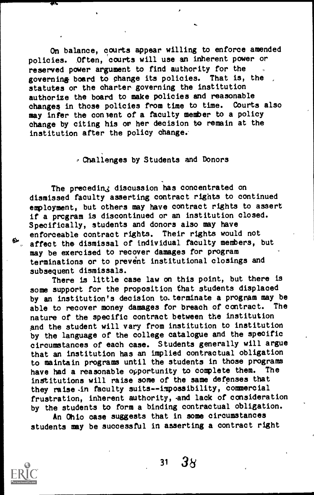On balance, courts appear willing to enforce amended policies. Often, courts will use an inherent power or reserved power argument to find authority for the governing board to change its policies. That is, the statutes or the charter governing the institution authorize the board to make policies and reasonable changes in those policies from time to time. Courts also may infer the consent of a faculty member to a policy change by citing his or her decision to remain at the institution after the policy change.

Challenges by Students and Donors

The preceding discussion has concentrated on dismissed faculty asserting contract rights to continued employment, but others may have contract rights to assert if a program is discontinued or an institution closed. Specifically, students and donors also may have<br>enforceable contract rights. Their rights would not enforceable contract rights. Their rights would not affect the dismissal of individual faculty members, but may be exercised to recover damages for program terminations or to prevent institutional closings and subsequent dismissals.

There is little case law on this point, but there is some support for the proposition that students displaced by an institution's decision to terminate a program may be<br>able to recover money damages for breach of contract. The able to recover money damages for breach of contract. nature of the specific contract between the institution and the student will vary from institution to institution by the language of the college catalogue and the specific circumstances of each case. Students generally will argue that an institution has an implied contractual obligation to maintain programs until the students in those programs have had a reasonable opportunity to complete them. The institutions will raise some of the same defenses that they raise in faculty suits--impossibility, commercial frustration, inherent authority, and lack of consideration by the students to form a binding contractual obligation.

An Ohio case suggests that in some circumstances students may be successful in asserting a contract right

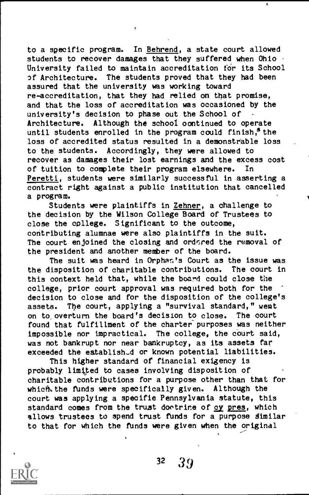to a specific program. In Behrend, a state court allowed students to recover damages that they suffered when Ohio  $\cdot$ University failed to maintain accreditation tor its School 3f Architecture. The students proved that they had been assured that the university was working toward re-accreditation, that they had relied on that promise, and that the loss of accreditation was occasioned by the university's decision to phase out the School of Architecture. Although the school oontinued to operate until students enrolled in the program could finish,<sup>8</sup> the loss of accredited status resulted in a demonstrable loss to the students. Accordingly, they were allowed to recover as damages their lost earnings and the excess cost of tuition to complete their program elsewhere. In Peretti, students were similarly successful in asserting a contract right against a public institution that cancelled a program.

7

Students were plaintiffs in Zehner, a challenge to the decision by the Wilson College Board of Trustees to close the college. Significant to the outcome, contributing alumnae were also plaintiffs in the suit. The court enjoined the closing and ordered the removal of the president and another member of the board.

The suit was heard in Orphan's Court as the issue was the disposition of charitable contributions. The court in this context held that, while the board could close the college, prior court approval was required both for the decision to close and for the disposition of the college's assets. The court, applying a "survival standard," went on to overturn the board's decision to close. The court found that fulfillment of the charter purposes was neither impossible nor impractical. The college, the court said, was not bankrupt nor near bankruptcy, as its assets far exceeded the eatablish-d or known potential liabilities.

This higher standard ot financial exigency is probably limited to cases involving disposition of charitable contributions for a purpose other than that for which, the funds were specifically given. Although the court was applying a specific Pennsylvania statute, this standard comes from the trust doetrire of cy pres, which allows trustees to spend trust funds for a purpose similar to that for which the funds were given when the original

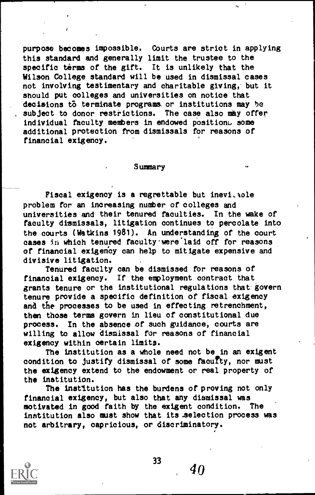purpose becomes impossible. Courts are strict in applying this standard and generally limit the trustee to the specific terms of the gift. It is unlikely that the Wilson College standard will be used in dismissal cases not involving testimentary and charitable giving,- but it should put colleges and universities on notice that decisions to terminate programs or institutions may be subject to donor restrictions. The case also may offer individual faculty members in endowed position. some additional protection from dismissals for reasons of financial exigency.

#### Summary

Fiscal exigency is a regrettable but inevitable problem for an increasing number of colleges and universities and their tenured faculties. In the wake of faculty dismissals, litigation continues to percolate into the courts (Watkins 1981). An understanding of the court cases in which tenured faculty were laid off for reasons of financial exigency can help to mitigate expensive and divisive litigation.

Tenured faculty can be dismissed for reasons of financial exigency. If the employment contract that grants tenure or the institutional regulations that- govern tenure provide a specific definition of fiscal exigency and the processes to be used in effecting retrenchment, then those terms govern in lieu of constitutional due process. In the absence of such guidance, courts are willing to allow dismissal for reasons of financial exigency within certain limits.

The institution as a whole need not be in an exigent condition to justify dismissal of some faculty, nor must the exigency extend to the endowment or real property of the institution.

The institution has the burdens of proving not only financial exigency, but also that any dismissal was motivated in good faith by the exigent condition. The institution also must show that its .selection process was not arbitrary, capricious, or discriminatory.

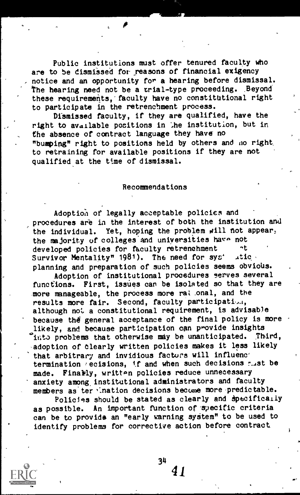Public institutions must offer tenured faculty who are to be dismissed for reasons of financial exigency notice and an opportunity for a hearing before dismissal. The hearing need not be a trial-type proceeding. Beyond these requirements, faculty have no constitutional right to participate in the retrenchment process.

Dismissed faculty, if they are qualified, have the right to available positions in the institution, but in the absence of contract language they have no "bumping" right to positions held by others and ao right\_ to retraining for available positions if they are not qualified at the time of dismissal.

#### Recommendations

Adoption of legally acceptable policies and procedures are in the interest of both the institution and the individual. Yet, hoping the problem will not appear, the majority of colleges and universities hava not developed policies for faculty retrenchment that<br>Survivor Mentality" 1981). The need for syst ation Survivor Mentality"  $1981$ ). The need for sys<sup>+</sup> planning and preparation of such policies seems obvious.

Adoption of institutional procedures serves several functions. First, issues can be isolated so that they are -more manageable, the process more rat onal, and the results more fair. Second, faculty participation, although not a constitutional requirement, is advisable because the general acceptance of the final policy is more likely, and because participation can provide insights into problems that otherwise may be unanticipated. Third. adoption of clearly written policies makes it less likely that arbitrary and invidious factors will influenc' termination recisions, if and when such decisions r.Ast be made. Finally, written policies reduce unnecessary anxiety among. institutional administrators and faculty members as ter ination decisions become more predictable.

Policies should be stated as clearly and specifically as possible. An important function of specific criteria can be to provide an "early warning system" to be used to identify problems for corrective action before contract

34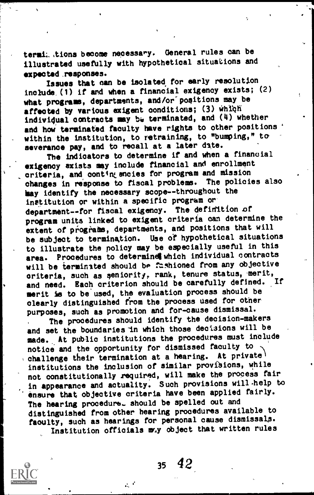termi. tions become necessary. General rules can be illustrated usefully with hypothetical situations and expected .responses.

Issues that can be isolated for early resolution include\_(1) if and when a financial exigency exists; (2) what programs, departments, and /or" positions may be affected by various exigent conditions; (3) which individual contracts may be terminated, and  $(4)$  whether and how terminated faculty have rights to other positions ' within the institution, to retraining, to "bumping," to severance pay, and to recall at a later date.

The indicators to determine if and when a financial exigency exists may include financial and enrollment criteria, and contingencies for program and mission changes in response to fiscal problems. The policies also may identify the necessary scope--throughout the institution or within a specific program ordepartment--for fiscal exigency. The definition of program units linked to exigent criteria can determine the extent of programs, departments, and positions that will be subject to termination. Use of hypothetical situations to illustrate the policy may be especially useful in this area. Procedures to determine which individual contracts will be terminated should be fashioned from any objective criteria, such as seniority, rank, tenure status, merit,  $\Gamma$ and need. Each criterion should be carefully defined. merit is to be used, the evaluation process should be clearly distinguished from the process Used for other purposes, such as promotion and for-cause dismissal. The procedures should identify the decision-makers and set the boundaries in which those decisions will be made. At public institutions the procedures must include notice and the opportunity for dismissed faculty to challenge their termination at a hearing. At private institutions the inclusion of similar provisions, while

not constitutionally required, will make the process fair in appearance and actuality. Such provisions will-help to ensure that objective criteria have been applied fairly. The hearing procedura. should be spelled out and distinguished from other hearing procedures available to faculty, such as hearings for personal cause dismissals. Institution officials may object that written rules



<sup>35</sup> 42,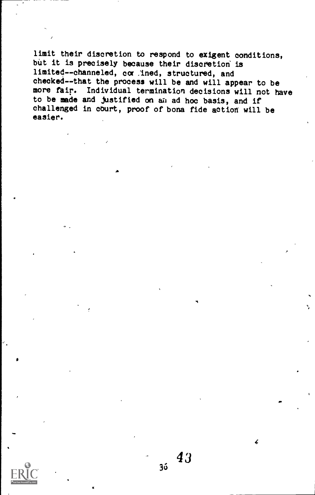limit their discretion to respond to exigent conditions, but it is precisely because their discretion is limited--channeled, cor ined, structured, and checked--that the process will be and will appear to be more fair. Individual termination decisions will not have to be made and justified on an ad hoc basis, and if challenged in court, proof of bona fide action will be easier.

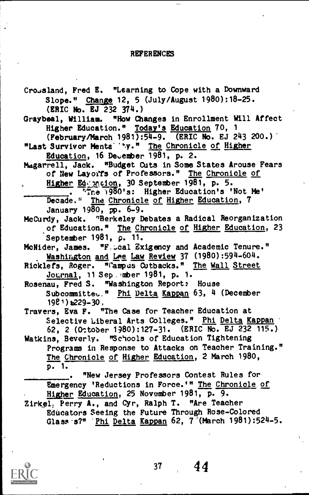### REFERENCES

Cro<sub>3</sub>sland, Fred E. "Learning to Cope with a Downward Slope." Change 12, 5 (July/August 1980):18-25. (ERIC No. EJ 232 374) Graybeal, William. "How Changes in Enrollment Will Affect Higher Education." Today's Education 70, <sup>1</sup> (February/March 1981):54-9. (ERIC No. EJ 243 200.) "Last Survivor Menta"ty." The Chronicle of Higher Education, 16 December  $\overline{1981}$ , p. 2. Magarrell, Jack. "Budget Cuts in Some States Arouse Fears of New Layors of Professors." The Chronicle of Higher Ederation, 30 September 1981, p. 5.  $\overline{\cdot}$   $\overline{\cdot}$  re 1980's: Higher Education's 'Not Me' Decade." The Chronicle of Higher Education, 7 January 1980, pp. 6-9. McCurdy, Jack. "Berkeley Debates a Radical Reorganization of Education." The Chronicle of Higher Education, 23 September 1981, p. 11. McNider, James. "F. cal Exigency and Academic Tenure." Washington and Lee Law Review 37 (1980):594-604. Ricklefs, Roger. "Campus Cutbacks." The Wall Street Journal, 11 Sep, mber 1981, p. 1. Rosenau, Fred S. "Washington Report: House Subcommitted," Phi Delta Kappan 63, 4 (December  $1981)$   $\geq$  29-30, Travers, Eva F. "The Case for Teacher Education at Selective Liberal Arts Colleges." Phi Delta Kappan 62, 2 (October 1980):127-31. (ERIC No. EJ 232 115.) Watkins, Beverly. "Schools of Education Tightening Programs in Response to Attacks on Teacher Training." The Chronicle of Higher Education, 2 March 1980,  $p. 1.$ . "New Jersey Professors Contest Rules for Emergency 'Reductions in Force.'" The Chronicle of Higher Education, 25 November 1981, p. 9. Zirkel, Perry A., and Cyr, Ralph T. "Are Teacher Educators Seeing the Future Through Rose-Colored Glass  $s$ ?" 'Phi Delta Kappan 62, 7<sup>7</sup>(March 1981):524-5.

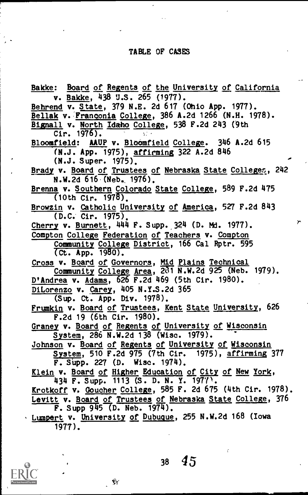## TABLE OF CASES

Bakke: Board of Regents of the University of California v. Bakke, 438 U.S. 265 (1977). Behrend v. State, 379 N.E. 2d 617 (Ohio App. 1977). Bellak v. Franconia College, 386 A.2d 1266 (N.H. 1978). Bignall v. North Idaho College, 538 F.2d 243 (9th Cir.  $1976$ . Bloomfield: AAUP v. Bloomfield College. 346 A.2d 615 (N.J. App. 1975), Affirming 322 A.2d 846 (N.J. Super. 1975). Brady v. Board of Trustees of Nebraska State Colleges, 242 N.W.2d 616 (Neb. 1976). Brenna v. Southern Colorado State College, 589 F.2d 475  $(10th$  Cir.  $1978)$ . Browzin v. Catholic University of America, 527 F.2d 843 (D.C. Cir. 1975),  $\rightarrow$ Cherry v. Burnett, 444 F. Supp. 324 (D. Md. 1977). Compton College Federation of Teachers v. Compton Community College District, 166 Cal Rptr. 595 Ct. App. 1980). Cross v. Board of Governors, Mid Plains Technical Community College Area, OT N.W.2d 925 (Neb. 1979). D'Andrea v. Adams, 626 F.2d 469 (5th Cir. 1980). DiLorenzo v. Carey, 405 N.Y.S.2d 365 (Sup. Ct. App. Div. 1978). Frumkin v. Board of Trustees, Kent State University, 626 F.2d 19 (6th Cir. 1980). Graney v. Board of Regents of University of Wisconsin System, 286 N.W.2d 138 (Wisc. 1979). Johnson v. Board of Regents of University of Wisconsin System, 510 F.2d 975 (7th Cir. 1975), affirming 377 F. Supp. 227 (D. Wisc. 1974). Klein v. Board of Higher Education of City of New York, 434 F. Supp.  $1113$  (S. D. N. Y. 1977). Krotkoff v, Goucher College, 585 F. 2d 675 (4th Cir. 1978). Levitt v. Board of Trustees of Nebraska State College, 376  $\overline{F}$ . Supp 945 (D. Neb. 1974). Lumpert v. University of Dubuque, 255 N.W.2d 168 (Iowa 1977).

<sup>38</sup> 45

Ŵ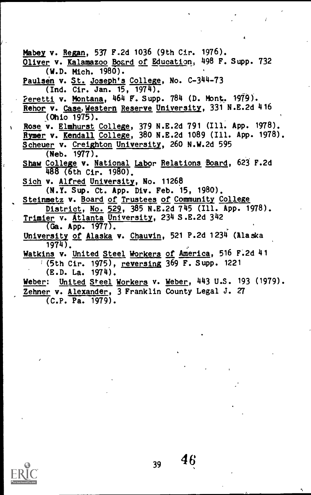Mabey v. Regan, 537 F.2d 1036 (9th Cir. 1976). Oliver v. Kalamazoo Board of Education, 498 F. Supp. 732  $(N.D.$  Mich.  $1980)$ . Paulsen v. St. Joseph's College, No. C-344-73 (Ind. Cir. Jan. 15, 1974). 2eretti v. Montana, 464 F. Supp. 784 (D. Mont. 1979) . Rehor v. Case, Western Reserve University, 331 N.E.2d 416 (Ohio 1975). Rose v. Elmhurst College, 379 N.E.2d 791 (Ill. App. 1978). Rymer v. <u>Kendall College</u>, 380 N.E.2d 1089 (Ill. App. 1978). Scheuer v. Creighton University, 260 N.W.2d 595 (Neb. 1977). Shaw College v. National Labor Relations Board, 623 F.2d  $488$  (6th Cir. 1980). Sich v. Alfred University, No. 11268 (N.Y. Sup. Ct. App. Div. Feb. 15, 1980). Steinmetz v. Board of Trustees of Community College District, No. 529, 385 N.E.2d 745 (Ill. App. 1978). Trimier v. Atlanta University, 234 S.E.2d 342  $\overline{(\mathsf{Ga.~App.~1977})}$ . University of Alaska v. Chauvin, 521 P.2d 1234 (Alaska 1974). Watkins v. United Steel Workers of America, 516 F.2d 41 (5th Cir. 1975), reversing 369 F. Supp. 1221 (E.D. La. 1974). Weber: United Steel Workers v. Weber, 443 U.S. 193 (1979). Zehner v. Alexander, 3 Franklin County Legal J. 27 (C.P. Pa. 1979).

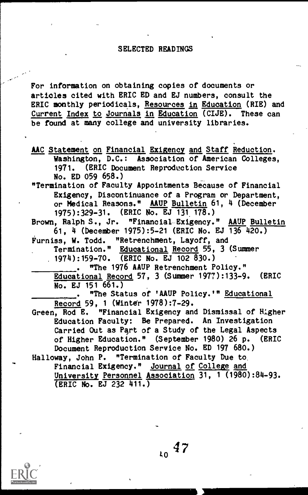### SELECTED READINGS

For information on obtaining copies of documents or articles cited with ERIC ED and EJ numbers, consult the ERIC monthly periodicals, Resources in Education (RIE) and Current Index to Journals in Education (CIJE). These can be found at many college and university libraries.

- AAC Statement on Financial Exigency and Staff Reduction. Washington, D.C.: Association of American Colleges, 1971. (ERIC Document Reproduction Service No. ED 059 658.)
- "Termination of Faculty Appointments Because of Financial Exigency, Discontinuance of a Program or Department, or Medical Reasons." AAUP Bulletin 61, 4 (December 1975):329-31. (ERIC No. EJ 131 178.)

Brown, Ralph S., Jr. "Financial Exigency." AAUP Bulletin 61, 4 (December 1975):5-21 (ERIC No. EJ 136 420.)

Furniss, W. Todd. "Retrenchment, Layoff, and

Termination." Educational Record 55, 3 (Summer 1974):159-70. (ERIC No. EJ 102 830.)

. "The 1976 AAUP Retrenchment Policy." Educational Record 57, 3 (Slimmer 1977):133-9. (ERIC No. EJ 151 661.)

. "The Status of 'AAUP Policy.'" Educational Record 59, <sup>1</sup> (Winter 1978):7-29.

Green, Rod E. "Financial Exigency and Dismissal of Higher Education Faculty: Be Prepared. An Investigation Carried Out as Part of a Study of the Legal Aspects of Higher Education." (September 1980) 26 p. (ERIC Document Reproduction Service No. ED 197 680.)

Halloway, John P. "Termination of Faculty Due to. Financial Exigency." Journal of College and University Personnel Association 31, <sup>1</sup> (1980):84-93. (ERIC No. EJ 232 411.)

 $10^{47}$